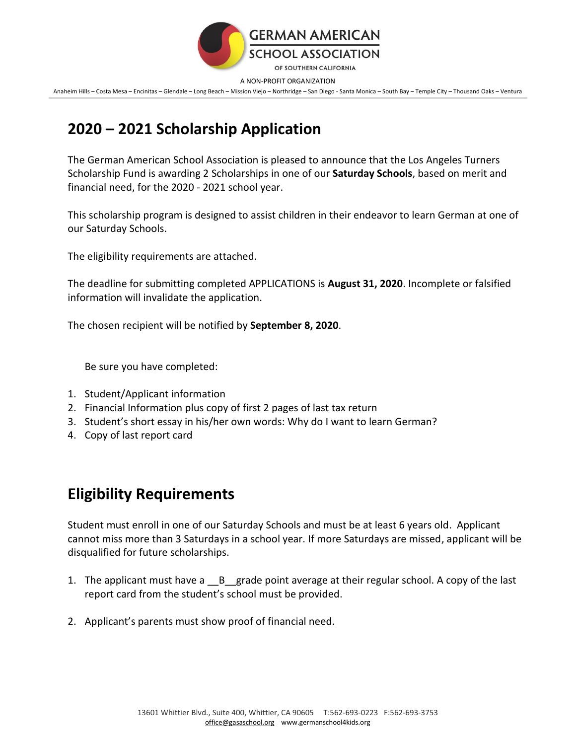

A NON-PROFIT ORGANIZATION

Anaheim Hills – Costa Mesa – Encinitas – Glendale – Long Beach – Mission Viejo – Northridge – San Diego - Santa Monica – South Bay – Temple City – Thousand Oaks – Ventura

## **2020 – 2021 Scholarship Application**

The German American School Association is pleased to announce that the Los Angeles Turners Scholarship Fund is awarding 2 Scholarships in one of our **Saturday Schools**, based on merit and financial need, for the 2020 - 2021 school year.

This scholarship program is designed to assist children in their endeavor to learn German at one of our Saturday Schools.

The eligibility requirements are attached.

The deadline for submitting completed APPLICATIONS is **August 31, 2020**. Incomplete or falsified information will invalidate the application.

The chosen recipient will be notified by **September 8, 2020**.

Be sure you have completed:

- 1. Student/Applicant information
- 2. Financial Information plus copy of first 2 pages of last tax return
- 3. Student's short essay in his/her own words: Why do I want to learn German?
- 4. Copy of last report card

## **Eligibility Requirements**

Student must enroll in one of our Saturday Schools and must be at least 6 years old. Applicant cannot miss more than 3 Saturdays in a school year. If more Saturdays are missed, applicant will be disqualified for future scholarships.

- 1. The applicant must have a \_\_B\_\_grade point average at their regular school. A copy of the last report card from the student's school must be provided.
- 2. Applicant's parents must show proof of financial need.